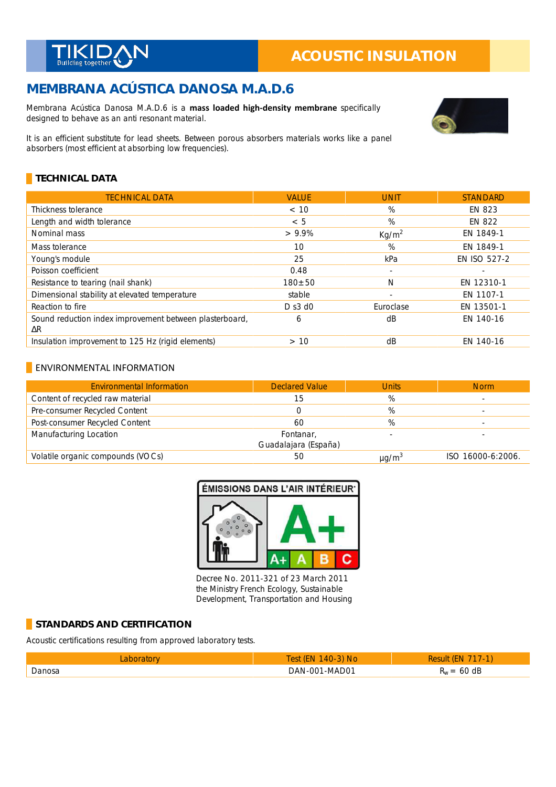

# **MEMBRANA ACÚSTICA DANOSA M.A.D.6**

Membrana Acústica Danosa M.A.D.6 is a **mass loaded high-density membrane** specifically designed to behave as an anti resonant material.



# **TECHNICAL DATA**

| <b>TECHNICAL DATA</b>                                         | <b>VALUE</b> | <b>UNIT</b>              | <b>STANDARD</b>     |
|---------------------------------------------------------------|--------------|--------------------------|---------------------|
| Thickness tolerance                                           | < 10         | %                        | EN 823              |
| Length and width tolerance                                    | < 5          | %                        | <b>EN 822</b>       |
| Nominal mass                                                  | $> 9.9\%$    | Kg/m <sup>2</sup>        | EN 1849-1           |
| Mass tolerance                                                | 10           | %                        | EN 1849-1           |
| Young's module                                                | 25           | kPa                      | <b>EN ISO 527-2</b> |
| Poisson coefficient                                           | 0.48         | $\overline{\phantom{a}}$ |                     |
| Resistance to tearing (nail shank)                            | $180 + 50$   | N                        | EN 12310-1          |
| Dimensional stability at elevated temperature                 | stable       | $\sim$                   | EN 1107-1           |
| Reaction to fire                                              | $D$ s3 d0    | Euroclase                | EN 13501-1          |
| Sound reduction index improvement between plasterboard,<br>ΔR | 6            | dB                       | EN 140-16           |
| Insulation improvement to 125 Hz (rigid elements)             | >10          | dB                       | EN 140-16           |

#### **ENVIRONMENTAL INFORMATION**

| <b>Environmental Information</b>  | <b>Declared Value</b>             | <b>Units</b>           | <b>Norm</b>       |
|-----------------------------------|-----------------------------------|------------------------|-------------------|
| Content of recycled raw material  | 15                                | %                      |                   |
| Pre-consumer Recycled Content     |                                   | %                      |                   |
| Post-consumer Recycled Content    | 60                                | %                      |                   |
| Manufacturing Location            | Fontanar,<br>Guadalajara (España) |                        |                   |
| Volatile organic compounds (VOCs) | 50                                | $\mu$ g/m <sup>3</sup> | ISO 16000-6:2006. |



Decree No. 2011-321 of 23 March 2011 the Ministry French Ecology, Sustainable Development, Transportation and Housing

#### **STANDARDS AND CERTIFICATION**

Acoustic certifications resulting from approved laboratory tests.

|         | ົ<br><b>INO</b><br>ДV                  |                                       |
|---------|----------------------------------------|---------------------------------------|
| Danosa. | . - MADO <sup>-</sup><br>ו זו<br>IΔNI. | dP<br>$\overline{\phantom{a}}$<br>nu. |

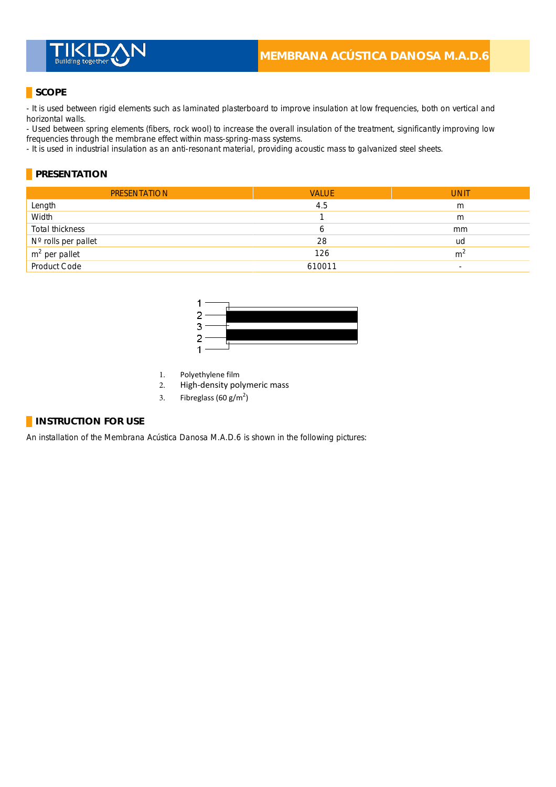

# **SCOPE**

- It is used between rigid elements such as laminated plasterboard to improve insulation at low frequencies, both on vertical and horizontal walls.

- Used between spring elements (fibers, rock wool) to increase the overall insulation of the treatment, significantly improving low frequencies through the membrane effect within mass-spring-mass systems. \_

- It is used in industrial insulation as an anti-resonant material, providing acoustic mass to galvanized steel sheets.

#### **PRESENTATION**

| <b>PRESENTATION</b> | <b>VALUE</b> | <b>UNIT</b>    |
|---------------------|--------------|----------------|
| Length              | 4.5          | m              |
| Width               |              | m              |
| Total thickness     | 6            | mm             |
| N° rolls per pallet | 28           | ud             |
| $m2$ per pallet     | 126          | m <sup>2</sup> |
| Product Code        | 610011       | -              |



- 1. Polyethylene film
- 2. High-density polymeric mass
- 3. Fibreglass (60 g/m<sup>2</sup>)

#### **INSTRUCTION FOR USE**

An installation of the Membrana Acústica Danosa M.A.D.6 is shown in the following pictures: